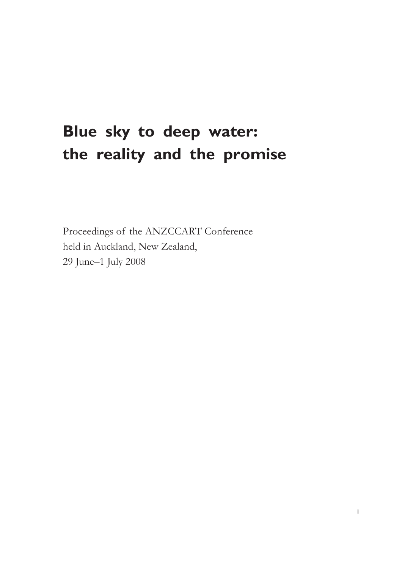# **Blue sky to deep water: the reality and the promise**

Proceedings of the ANZCCART Conference held in Auckland, New Zealand, 29 June–1 July 2008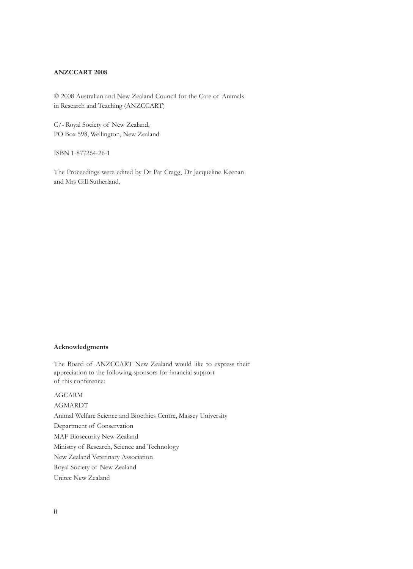#### **ANZCCART 2008**

© 2008 Australian and New Zealand Council for the Care of Animals in Research and Teaching (ANZCCART)

C/- Royal Society of New Zealand, PO Box 598, Wellington, New Zealand

ISBN 1-877264-26-1

The Proceedings were edited by Dr Pat Cragg, Dr Jacqueline Keenan and Mrs Gill Sutherland.

#### **Acknowledgments**

The Board of ANZCCART New Zealand would like to express their appreciation to the following sponsors for financial support of this conference:

AGCARM AGMARDT Animal Welfare Science and Bioethics Centre, Massey University Department of Conservation MAF Biosecurity New Zealand Ministry of Research, Science and Technology New Zealand Veterinary Association Royal Society of New Zealand Unitec New Zealand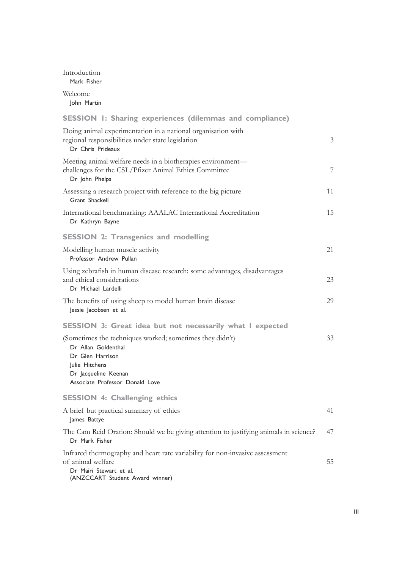| Introduction<br>Mark Fisher                                                                                                                                                      |                |
|----------------------------------------------------------------------------------------------------------------------------------------------------------------------------------|----------------|
| Welcome<br>John Martin                                                                                                                                                           |                |
| <b>SESSION 1: Sharing experiences (dilemmas and compliance)</b>                                                                                                                  |                |
| Doing animal experimentation in a national organisation with<br>regional responsibilities under state legislation<br>Dr Chris Prideaux                                           | $\overline{3}$ |
| Meeting animal welfare needs in a biotherapies environment—<br>challenges for the CSL/Pfizer Animal Ethics Committee<br>Dr John Phelps                                           | 7              |
| Assessing a research project with reference to the big picture<br>Grant Shackell                                                                                                 | 11             |
| International benchmarking: AAALAC International Accreditation<br>Dr Kathryn Bayne                                                                                               | 15             |
| <b>SESSION 2: Transgenics and modelling</b>                                                                                                                                      |                |
| Modelling human muscle activity<br>Professor Andrew Pullan                                                                                                                       | 21             |
| Using zebrafish in human disease research: some advantages, disadvantages<br>and ethical considerations<br>Dr Michael Lardelli                                                   | 23             |
| The benefits of using sheep to model human brain disease<br>Jessie Jacobsen et al.                                                                                               | 29             |
| SESSION 3: Great idea but not necessarily what I expected                                                                                                                        |                |
| (Sometimes the techniques worked; sometimes they didn't)<br>Dr Allan Goldenthal<br>Dr Glen Harrison<br>Julie Hitchens<br>Dr Jacqueline Keenan<br>Associate Professor Donald Love | 33             |
| <b>SESSION 4: Challenging ethics</b>                                                                                                                                             |                |
| A brief but practical summary of ethics<br>James Battye                                                                                                                          | 41             |
| The Cam Reid Oration: Should we be giving attention to justifying animals in science?<br>Dr Mark Fisher                                                                          | 47             |
| Infrared thermography and heart rate variability for non-invasive assessment<br>of animal welfare<br>Dr Mairi Stewart et al.<br>(ANZCCART Student Award winner)                  | 55             |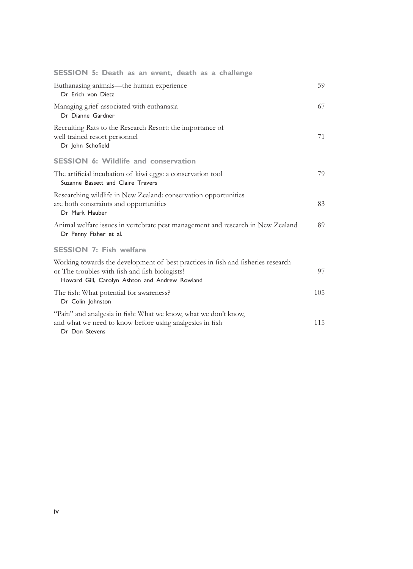| SESSION 5: Death as an event, death as a challenge                                                                                                                                   |     |
|--------------------------------------------------------------------------------------------------------------------------------------------------------------------------------------|-----|
| Euthanasing animals—the human experience<br>Dr Erich von Dietz                                                                                                                       | 59  |
| Managing grief associated with euthanasia<br>Dr Dianne Gardner                                                                                                                       | 67  |
| Recruiting Rats to the Research Resort: the importance of<br>well trained resort personnel<br>Dr John Schofield                                                                      | 71  |
| <b>SESSION 6: Wildlife and conservation</b>                                                                                                                                          |     |
| The artificial incubation of kiwi eggs: a conservation tool<br>Suzanne Bassett and Claire Travers                                                                                    | 79  |
| Researching wildlife in New Zealand: conservation opportunities<br>are both constraints and opportunities<br>Dr Mark Hauber                                                          | 83  |
| Animal welfare issues in vertebrate pest management and research in New Zealand<br>Dr Penny Fisher et al.                                                                            | 89  |
| <b>SESSION 7: Fish welfare</b>                                                                                                                                                       |     |
| Working towards the development of best practices in fish and fisheries research<br>or The troubles with fish and fish biologists!<br>Howard Gill, Carolyn Ashton and Andrew Rowland | 97  |
| The fish: What potential for awareness?<br>Dr Colin Johnston                                                                                                                         | 105 |
| "Pain" and analgesia in fish: What we know, what we don't know,<br>and what we need to know before using analgesics in fish<br>Dr Don Stevens                                        | 115 |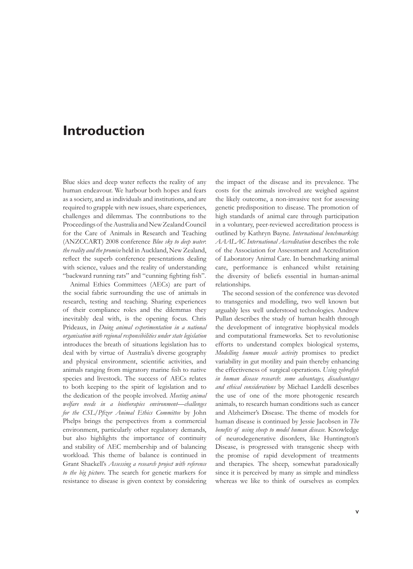## **Introduction**

Blue skies and deep water reflects the reality of any human endeavour. We harbour both hopes and fears as a society, and as individuals and institutions, and are required to grapple with new issues, share experiences, challenges and dilemmas. The contributions to the Proceedings of the Australia and New Zealand Council for the Care of Animals in Research and Teaching (ANZCCART) 2008 conference *Blue sky to deep water*: *the reality and the promise* held in Auckland, New Zealand, reflect the superb conference presentations dealing with science, values and the reality of understanding "backward running rats" and "cunning fighting fish".

Animal Ethics Committees (AECs) are part of the social fabric surrounding the use of animals in research, testing and teaching. Sharing experiences of their compliance roles and the dilemmas they inevitably deal with, is the opening focus. Chris Prideaux, in *Doing animal experimentation in a national organisation with regional responsibilities under state legislation* introduces the breath of situations legislation has to deal with by virtue of Australia's diverse geography and physical environment, scientific activities, and animals ranging from migratory marine fish to native species and livestock. The success of AECs relates to both keeping to the spirit of legislation and to the dedication of the people involved. *Meeting animal welfare needs in a biotherapies environment—challenges for the CSL/Pfizer Animal Ethics Committee* by John Phelps brings the perspectives from a commercial environment, particularly other regulatory demands, but also highlights the importance of continuity and stability of AEC membership and of balancing workload. This theme of balance is continued in Grant Shackell's *Assessing a research project with reference to the big picture*. The search for genetic markers for resistance to disease is given context by considering

the impact of the disease and its prevalence. The costs for the animals involved are weighed against the likely outcome, a non-invasive test for assessing genetic predisposition to disease. The promotion of high standards of animal care through participation in a voluntary, peer-reviewed accreditation process is outlined by Kathryn Bayne. *International benchmarking*: *AAALAC International Accreditation* describes the role of the Association for Assessment and Accreditation of Laboratory Animal Care. In benchmarking animal care, performance is enhanced whilst retaining the diversity of beliefs essential in human-animal relationships.

The second session of the conference was devoted to transgenics and modelling, two well known but arguably less well understood technologies. Andrew Pullan describes the study of human health through the development of integrative biophysical models and computational frameworks. Set to revolutionise efforts to understand complex biological systems, *Modelling human muscle activity* promises to predict variability in gut motility and pain thereby enhancing the effectiveness of surgical operations. *Using zebrafish in human disease research*: *some advantages, disadvantages and ethical considerations* by Michael Lardelli describes the use of one of the more photogenic research animals, to research human conditions such as cancer and Alzheimer's Disease. The theme of models for human disease is continued by Jessie Jacobsen in *The benefits of using sheep to model human disease.* Knowledge of neurodegenerative disorders, like Huntington's Disease, is progressed with transgenic sheep with the promise of rapid development of treatments and therapies. The sheep, somewhat paradoxically since it is perceived by many as simple and mindless whereas we like to think of ourselves as complex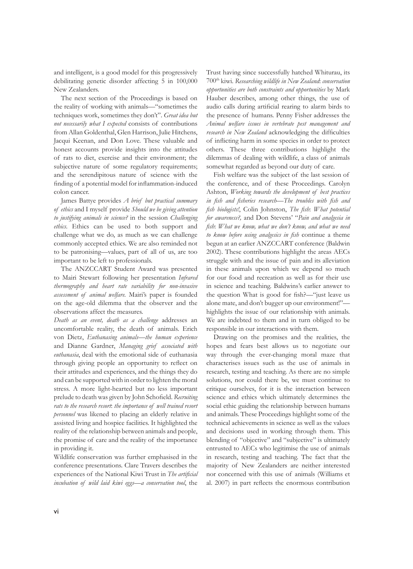and intelligent, is a good model for this progressively debilitating genetic disorder affecting 5 in 100,000 New Zealanders.

The next section of the Proceedings is based on the reality of working with animals—"sometimes the techniques work, sometimes they don't". *Great idea but not necessarily what I expected* consists of contributions from Allan Goldenthal, Glen Harrison, Julie Hitchens, Jacqui Keenan, and Don Love. These valuable and honest accounts provide insights into the attitudes of rats to diet, exercise and their environment; the subjective nature of some regulatory requirements; and the serendipitous nature of science with the finding of a potential model for inflammation-induced colon cancer.

James Battye provides *A brief but practical summary of ethics* and I myself provide *Should we be giving attention to justifying animals in science?* in the session *Challenging ethics*. Ethics can be used to both support and challenge what we do, as much as we can challenge commonly accepted ethics. We are also reminded not to be patronising—values, part of all of us, are too important to be left to professionals.

The ANZCCART Student Award was presented to Mairi Stewart following her presentation *Infrared thermography and heart rate variability for non-invasive assessment of animal welfare.* Mairi's paper is founded on the age-old dilemma that the observer and the observations affect the measures.

*Death as an event, death as a challenge* addresses an uncomfortable reality, the death of animals. Erich von Dietz, *Euthanasing animals—the human experience* and Dianne Gardner, *Managing grief associated with euthanasia*, deal with the emotional side of euthanasia through giving people an opportunity to reflect on their attitudes and experiences, and the things they do and can be supported with in order to lighten the moral stress. A more light-hearted but no less important prelude to death was given by John Schofield. *Recruiting rats to the research resort*: *the importance of well trained resort personnel* was likened to placing an elderly relative in assisted living and hospice facilities. It highlighted the reality of the relationship between animals and people, the promise of care and the reality of the importance in providing it.

Wildlife conservation was further emphasised in the conference presentations. Clare Travers describes the experiences of the National Kiwi Trust in *The artificial incubation of wild laid kiwi eggs—a conservation tool*, the

Trust having since successfully hatched Whiturau, its 700th kiwi. *Researching wildlife in New Zealand*: *conservation opportunities are both constraints and opportunities* by Mark Hauber describes, among other things, the use of audio calls during artificial rearing to alarm birds to the presence of humans. Penny Fisher addresses the *Animal welfare issues in vertebrate pest management and research in New Zealand* acknowledging the difficulties of inflicting harm in some species in order to protect others. These three contributions highlight the dilemmas of dealing with wildlife, a class of animals somewhat regarded as beyond our duty of care.

Fish welfare was the subject of the last session of the conference, and of these Proceedings. Carolyn Ashton, *Working towards the development of best practices in fish and fisheries research*—*The troubles with fish and fish biologists!*, Colin Johnston, *The fish*: *What potential for awareness?,* and Don Stevens' "*Pain and analgesia in fish*: *What we know, what we don't know, and what we need to know before using analgesics in fish* continue a theme begun at an earlier ANZCCART conference (Baldwin 2002). These contributions highlight the areas AECs struggle with and the issue of pain and its alleviation in these animals upon which we depend so much for our food and recreation as well as for their use in science and teaching. Baldwins's earlier answer to the question What is good for fish?—"just leave us alone mate, and don't bugger up our environment!" highlights the issue of our relationship with animals. We are indebted to them and in turn obliged to be responsible in our interactions with them.

Drawing on the promises and the realities, the hopes and fears best allows us to negotiate our way through the ever-changing moral maze that characterises issues such as the use of animals in research, testing and teaching. As there are no simple solutions, nor could there be, we must continue to critique ourselves, for it is the interaction between science and ethics which ultimately determines the social ethic guiding the relationship between humans and animals. These Proceedings highlight some of the technical achievements in science as well as the values and decisions used in working through them. This blending of "objective" and "subjective" is ultimately entrusted to AECs who legitimise the use of animals in research, testing and teaching. The fact that the majority of New Zealanders are neither interested nor concerned with this use of animals (Williams et al. 2007) in part reflects the enormous contribution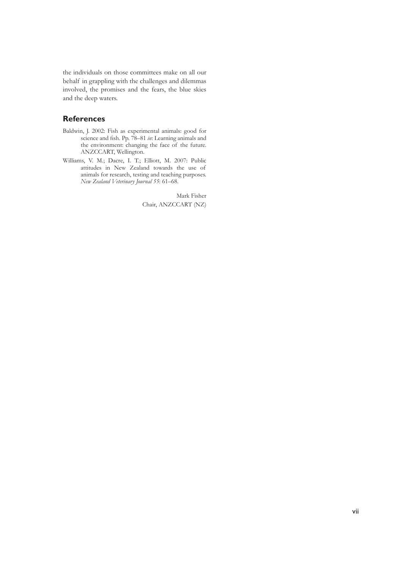the individuals on those committees make on all our behalf in grappling with the challenges and dilemmas involved, the promises and the fears, the blue skies and the deep waters.

### **References**

- Baldwin, J. 2002: Fish as experimental animals: good for science and fish. Pp. 78–81 *in*: Learning animals and the environment: changing the face of the future. ANZCCART, Wellington.
- Williams, V. M.; Dacre, I. T.; Elliott, M. 2007: Public attitudes in New Zealand towards the use of animals for research, testing and teaching purposes. *New Zealand Veterinary Journal 55*: 61–68.

Mark Fisher Chair, ANZCCART (NZ)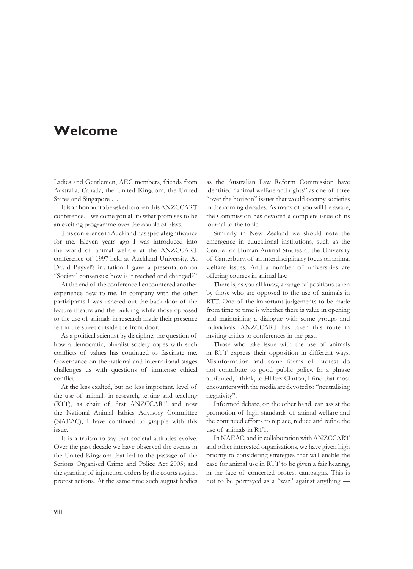### **Welcome**

Ladies and Gentlemen, AEC members, friends from Australia, Canada, the United Kingdom, the United States and Singapore …

It is an honour to be asked to open this ANZCCART conference. I welcome you all to what promises to be an exciting programme over the couple of days.

This conference in Auckland has special significance for me. Eleven years ago I was introduced into the world of animal welfare at the ANZCCART conference of 1997 held at Auckland University. At David Bayvel's invitation I gave a presentation on "Societal consensus: how is it reached and changed?"

At the end of the conference I encountered another experience new to me. In company with the other participants I was ushered out the back door of the lecture theatre and the building while those opposed to the use of animals in research made their presence felt in the street outside the front door.

As a political scientist by discipline, the question of how a democratic, pluralist society copes with such conflicts of values has continued to fascinate me. Governance on the national and international stages challenges us with questions of immense ethical conflict.

At the less exalted, but no less important, level of the use of animals in research, testing and teaching (RTT), as chair of first ANZCCART and now the National Animal Ethics Advisory Committee (NAEAC), I have continued to grapple with this issue.

It is a truism to say that societal attitudes evolve. Over the past decade we have observed the events in the United Kingdom that led to the passage of the Serious Organised Crime and Police Act 2005; and the granting of injunction orders by the courts against protest actions. At the same time such august bodies

as the Australian Law Reform Commission have identified "animal welfare and rights" as one of three "over the horizon" issues that would occupy societies in the coming decades. As many of you will be aware, the Commission has devoted a complete issue of its journal to the topic.

Similarly in New Zealand we should note the emergence in educational institutions, such as the Centre for Human-Animal Studies at the University of Canterbury, of an interdisciplinary focus on animal welfare issues. And a number of universities are offering courses in animal law.

There is, as you all know, a range of positions taken by those who are opposed to the use of animals in RTT. One of the important judgements to be made from time to time is whether there is value in opening and maintaining a dialogue with some groups and individuals. ANZCCART has taken this route in inviting critics to conferences in the past.

Those who take issue with the use of animals in RTT express their opposition in different ways. Misinformation and some forms of protest do not contribute to good public policy. In a phrase attributed, I think, to Hillary Clinton, I find that most encounters with the media are devoted to "neutralising negativity".

Informed debate, on the other hand, can assist the promotion of high standards of animal welfare and the continued efforts to replace, reduce and refine the use of animals in RTT.

In NAEAC, and in collaboration with ANZCCART and other interested organisations, we have given high priority to considering strategies that will enable the case for animal use in RTT to be given a fair hearing, in the face of concerted protest campaigns. This is not to be portrayed as a "war" against anything —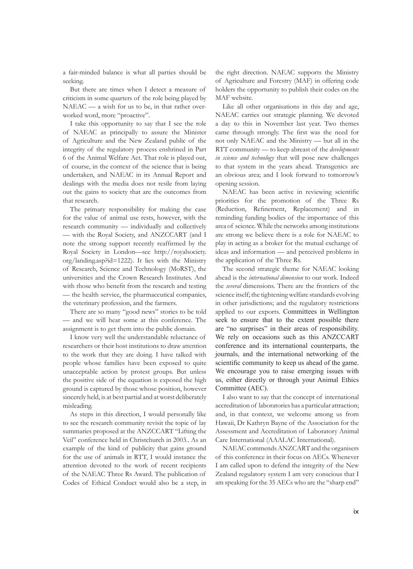a fair-minded balance is what all parties should be seeking.

But there are times when I detect a measure of criticism in some quarters of the role being played by NAEAC — a wish for us to be, in that rather overworked word, more "proactive".

I take this opportunity to say that I see the role of NAEAC as principally to assure the Minister of Agriculture and the New Zealand public of the integrity of the regulatory process enshrined in Part 6 of the Animal Welfare Act. That role is played out, of course, in the context of the science that is being undertaken, and NAEAC in its Annual Report and dealings with the media does not resile from laying out the gains to society that are the outcomes from that research.

The primary responsibility for making the case for the value of animal use rests, however, with the research community — individually and collectively — with the Royal Society, and ANZCCART (and I note the strong support recently reaffirmed by the Royal Society in London—see http://royalsociety. org/landing.asp?id=1222). It lies with the Ministry of Research, Science and Technology (MoRST), the universities and the Crown Research Institutes. And with those who benefit from the research and testing — the health service, the pharmaceutical companies, the veterinary profession, and the farmers.

There are so many "good news" stories to be told — and we will hear some at this conference. The assignment is to get them into the public domain.

I know very well the understandable reluctance of researchers or their host institutions to draw attention to the work that they are doing. I have talked with people whose families have been exposed to quite unacceptable action by protest groups. But unless the positive side of the equation is exposed the high ground is captured by those whose position, however sincerely held, is at best partial and at worst deliberately misleading.

As steps in this direction, I would personally like to see the research community revisit the topic of lay summaries proposed at the ANZCCART "Lifting the Veil" conference held in Christchurch in 2003.. As an example of the kind of publicity that gains ground for the use of animals in RTT, I would instance the attention devoted to the work of recent recipients of the NAEAC Three Rs Award. The publication of Codes of Ethical Conduct would also be a step, in the right direction. NAEAC supports the Ministry of Agriculture and Forestry (MAF) in offering code holders the opportunity to publish their codes on the MAF website.

Like all other organisations in this day and age, NAEAC carries out strategic planning. We devoted a day to this in November last year. Two themes came through strongly. The first was the need for not only NAEAC and the Ministry — but all in the RTT community — to keep abreast of the *developments in science and technology* that will pose new challenges to that system in the years ahead. Transgenics are an obvious area; and I look forward to tomorrow's opening session.

NAEAC has been active in reviewing scientific priorities for the promotion of the Three Rs (Reduction, Refinement, Replacement) and in reminding funding bodies of the importance of this area of science. While the networks among institutions are strong we believe there is a role for NAEAC to play in acting as a broker for the mutual exchange of ideas and information — and perceived problems in the application of the Three Rs.

The second strategic theme for NAEAC looking ahead is the *international dimension* to our work. Indeed the *several* dimensions. There are the frontiers of the science itself; the tightening welfare standards evolving in other jurisdictions; and the regulatory restrictions applied to our exports. Committees in Wellington seek to ensure that to the extent possible there are "no surprises" in their areas of responsibility. We rely on occasions such as this ANZCCART conference and its international counterparts, the journals, and the international networking of the scientific community to keep us ahead of the game. We encourage you to raise emerging issues with us, either directly or through your Animal Ethics Committee (AEC).

I also want to say that the concept of international accreditation of laboratories has a particular attraction; and, in that context, we welcome among us from Hawaii, Dr Kathryn Bayne of the Association for the Assessment and Accreditation of Laboratory Animal Care International (AAALAC International).

NAEAC commends ANZCART and the organisers of this conference in their focus on AECs. Whenever I am called upon to defend the integrity of the New Zealand regulatory system I am very conscious that I am speaking for the 35 AECs who are the "sharp end"